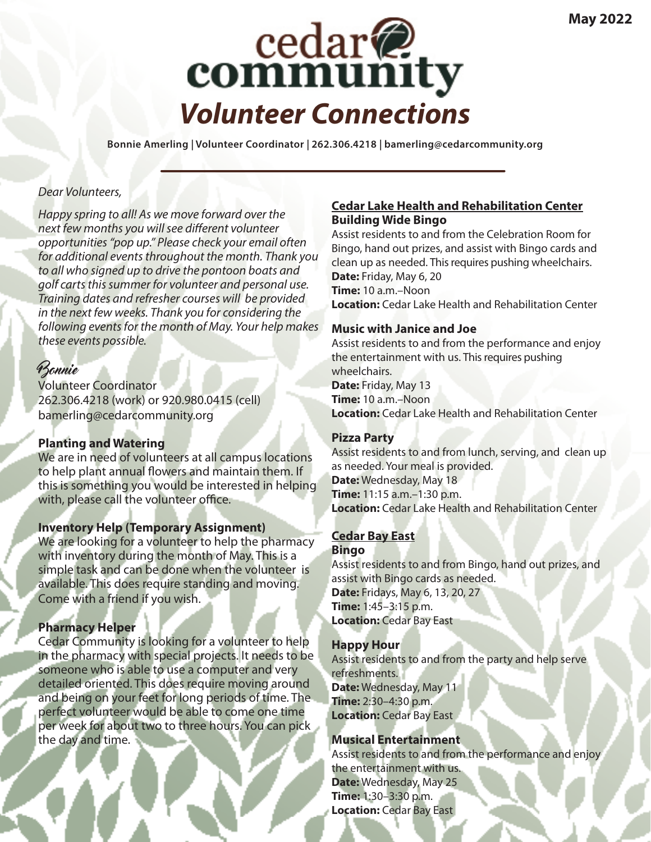

**Bonnie Amerling | Volunteer Coordinator | 262.306.4218 | bamerling@cedarcommunity.org**

### *Dear Volunteers,*

*Happy spring to all! As we move forward over the next few months you will see different volunteer opportunities "pop up." Please check your email often for additional events throughout the month. Thank you to all who signed up to drive the pontoon boats and golf carts this summer for volunteer and personal use. Training dates and refresher courses will be provided in the next few weeks. Thank you for considering the following events for the month of May. Your help makes these events possible.*

# Bonnie

Volunteer Coordinator 262.306.4218 (work) or 920.980.0415 (cell) bamerling@cedarcommunity.org

# **Planting and Watering**

We are in need of volunteers at all campus locations to help plant annual flowers and maintain them. If this is something you would be interested in helping with, please call the volunteer office.

### **Inventory Help (Temporary Assignment)**

We are looking for a volunteer to help the pharmacy with inventory during the month of May. This is a simple task and can be done when the volunteer is available. This does require standing and moving. Come with a friend if you wish.

# **Pharmacy Helper**

Cedar Community is looking for a volunteer to help in the pharmacy with special projects. It needs to be someone who is able to use a computer and very detailed oriented. This does require moving around and being on your feet for long periods of time. The perfect volunteer would be able to come one time per week for about two to three hours. You can pick the day and time.

### **Cedar Lake Health and Rehabilitation Center Building Wide Bingo**

Assist residents to and from the Celebration Room for Bingo, hand out prizes, and assist with Bingo cards and clean up as needed. This requires pushing wheelchairs. **Date:** Friday, May 6, 20 **Time:** 10 a.m.–Noon **Location:** Cedar Lake Health and Rehabilitation Center

## **Music with Janice and Joe**

Assist residents to and from the performance and enjoy the entertainment with us. This requires pushing wheelchairs. **Date:** Friday, May 13 **Time:** 10 a.m.–Noon **Location:** Cedar Lake Health and Rehabilitation Center

# **Pizza Party**

Assist residents to and from lunch, serving, and clean up as needed. Your meal is provided. **Date:** Wednesday, May 18 **Time:** 11:15 a.m.–1:30 p.m. **Location:** Cedar Lake Health and Rehabilitation Center

#### **Cedar Bay East Bingo**

Assist residents to and from Bingo, hand out prizes, and assist with Bingo cards as needed. **Date:** Fridays, May 6, 13, 20, 27 **Time:** 1:45–3:15 p.m. **Location:** Cedar Bay East

### **Happy Hour**

Assist residents to and from the party and help serve refreshments. **Date:** Wednesday, May 11 **Time:** 2:30–4:30 p.m. **Location:** Cedar Bay East

# **Musical Entertainment**

Assist residents to and from the performance and enjoy the entertainment with us. **Date:** Wednesday, May 25 **Time:** 1:30–3:30 p.m. **Location:** Cedar Bay East